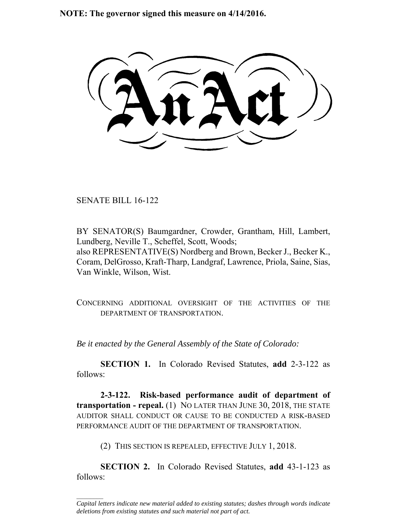**NOTE: The governor signed this measure on 4/14/2016.**

SENATE BILL 16-122

 $\frac{1}{2}$ 

BY SENATOR(S) Baumgardner, Crowder, Grantham, Hill, Lambert, Lundberg, Neville T., Scheffel, Scott, Woods; also REPRESENTATIVE(S) Nordberg and Brown, Becker J., Becker K., Coram, DelGrosso, Kraft-Tharp, Landgraf, Lawrence, Priola, Saine, Sias, Van Winkle, Wilson, Wist.

CONCERNING ADDITIONAL OVERSIGHT OF THE ACTIVITIES OF THE DEPARTMENT OF TRANSPORTATION.

*Be it enacted by the General Assembly of the State of Colorado:*

**SECTION 1.** In Colorado Revised Statutes, **add** 2-3-122 as follows:

**2-3-122. Risk-based performance audit of department of transportation - repeal.** (1) NO LATER THAN JUNE 30, 2018, THE STATE AUDITOR SHALL CONDUCT OR CAUSE TO BE CONDUCTED A RISK-BASED PERFORMANCE AUDIT OF THE DEPARTMENT OF TRANSPORTATION.

(2) THIS SECTION IS REPEALED, EFFECTIVE JULY 1, 2018.

**SECTION 2.** In Colorado Revised Statutes, **add** 43-1-123 as follows:

*Capital letters indicate new material added to existing statutes; dashes through words indicate deletions from existing statutes and such material not part of act.*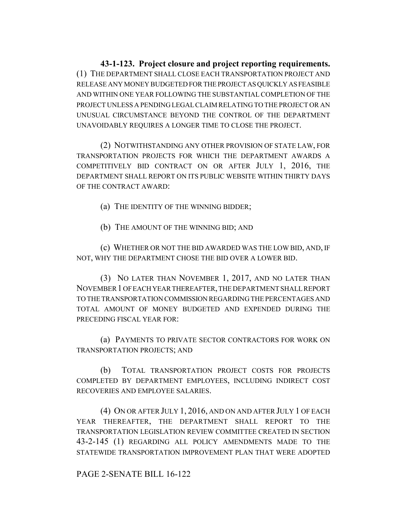**43-1-123. Project closure and project reporting requirements.** (1) THE DEPARTMENT SHALL CLOSE EACH TRANSPORTATION PROJECT AND RELEASE ANY MONEY BUDGETED FOR THE PROJECT AS QUICKLY AS FEASIBLE AND WITHIN ONE YEAR FOLLOWING THE SUBSTANTIAL COMPLETION OF THE PROJECT UNLESS A PENDING LEGAL CLAIM RELATING TO THE PROJECT OR AN UNUSUAL CIRCUMSTANCE BEYOND THE CONTROL OF THE DEPARTMENT UNAVOIDABLY REQUIRES A LONGER TIME TO CLOSE THE PROJECT.

(2) NOTWITHSTANDING ANY OTHER PROVISION OF STATE LAW, FOR TRANSPORTATION PROJECTS FOR WHICH THE DEPARTMENT AWARDS A COMPETITIVELY BID CONTRACT ON OR AFTER JULY 1, 2016, THE DEPARTMENT SHALL REPORT ON ITS PUBLIC WEBSITE WITHIN THIRTY DAYS OF THE CONTRACT AWARD:

(a) THE IDENTITY OF THE WINNING BIDDER;

(b) THE AMOUNT OF THE WINNING BID; AND

(c) WHETHER OR NOT THE BID AWARDED WAS THE LOW BID, AND, IF NOT, WHY THE DEPARTMENT CHOSE THE BID OVER A LOWER BID.

(3) NO LATER THAN NOVEMBER 1, 2017, AND NO LATER THAN NOVEMBER 1 OF EACH YEAR THEREAFTER, THE DEPARTMENT SHALL REPORT TO THE TRANSPORTATION COMMISSION REGARDING THE PERCENTAGES AND TOTAL AMOUNT OF MONEY BUDGETED AND EXPENDED DURING THE PRECEDING FISCAL YEAR FOR:

(a) PAYMENTS TO PRIVATE SECTOR CONTRACTORS FOR WORK ON TRANSPORTATION PROJECTS; AND

(b) TOTAL TRANSPORTATION PROJECT COSTS FOR PROJECTS COMPLETED BY DEPARTMENT EMPLOYEES, INCLUDING INDIRECT COST RECOVERIES AND EMPLOYEE SALARIES.

(4) ON OR AFTER JULY 1, 2016, AND ON AND AFTER JULY 1 OF EACH YEAR THEREAFTER, THE DEPARTMENT SHALL REPORT TO THE TRANSPORTATION LEGISLATION REVIEW COMMITTEE CREATED IN SECTION 43-2-145 (1) REGARDING ALL POLICY AMENDMENTS MADE TO THE STATEWIDE TRANSPORTATION IMPROVEMENT PLAN THAT WERE ADOPTED

## PAGE 2-SENATE BILL 16-122